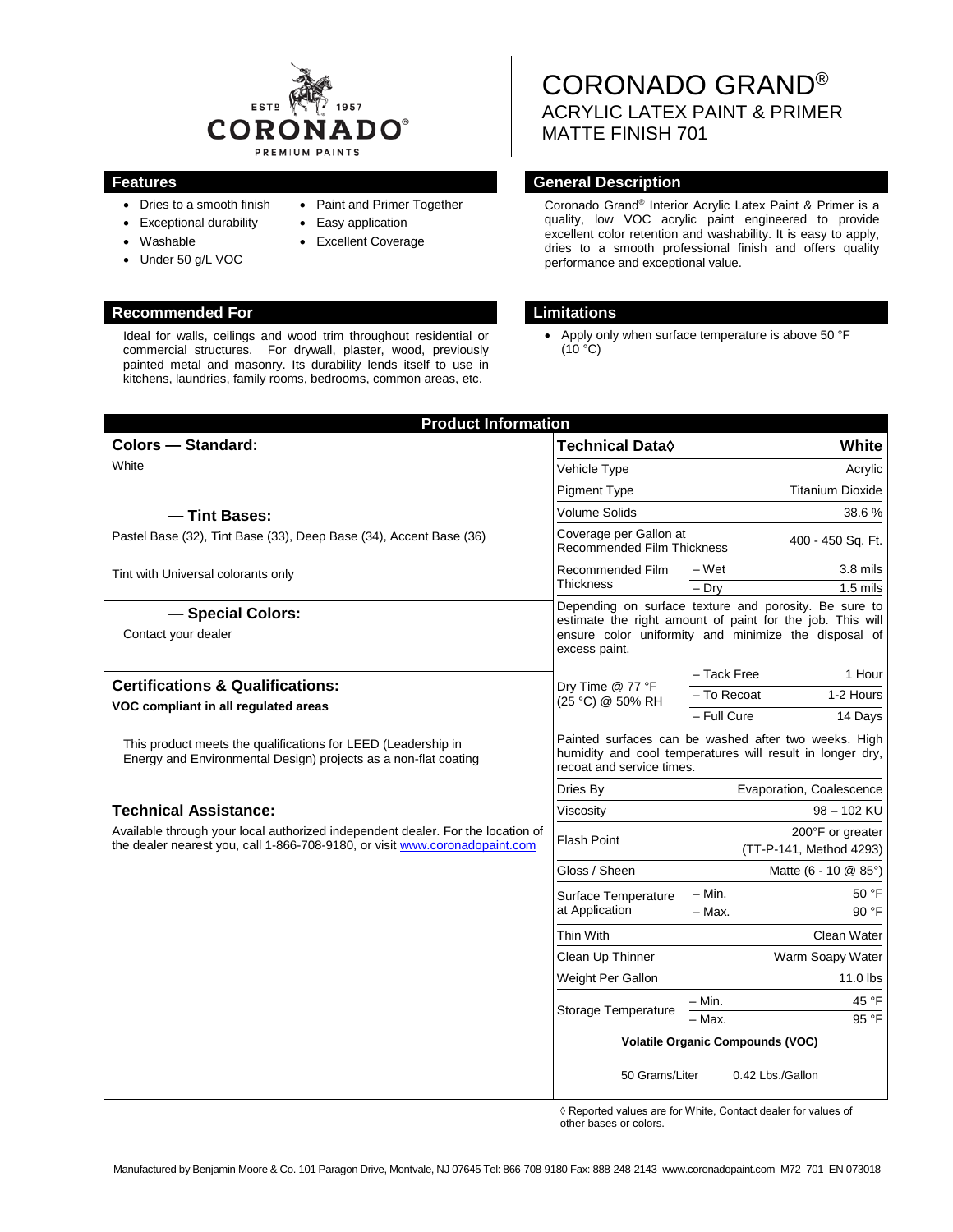

- Dries to a smooth finish
- Exceptional durability
- Washable
- Under 50 g/L VOC
- Paint and Primer Together • Easy application
- **Excellent Coverage**
- 

## **Recommended For Limitations**

Ideal for walls, ceilings and wood trim throughout residential or commercial structures. For drywall, plaster, wood, previously painted metal and masonry. Its durability lends itself to use in kitchens, laundries, family rooms, bedrooms, common areas, etc.

CORONADO GRAND® ACRYLIC LATEX PAINT & PRIMER MATTE FINISH 701

## **Features General Description**

Coronado Grand® Interior Acrylic Latex Paint & Primer is a quality, low VOC acrylic paint engineered to provide excellent color retention and washability. It is easy to apply, dries to a smooth professional finish and offers quality performance and exceptional value.

Apply only when surface temperature is above 50 °F  $(10 °C)$ 

| <b>Product Information</b>                                                                                                                                     |                                                                                                                                                                                             |                                             |
|----------------------------------------------------------------------------------------------------------------------------------------------------------------|---------------------------------------------------------------------------------------------------------------------------------------------------------------------------------------------|---------------------------------------------|
| <b>Colors - Standard:</b>                                                                                                                                      | Technical Data <sup>(</sup>                                                                                                                                                                 | White                                       |
| White                                                                                                                                                          | Vehicle Type                                                                                                                                                                                | Acrylic                                     |
|                                                                                                                                                                | <b>Pigment Type</b>                                                                                                                                                                         | <b>Titanium Dioxide</b>                     |
| - Tint Bases:                                                                                                                                                  | <b>Volume Solids</b>                                                                                                                                                                        | 38.6%                                       |
| Pastel Base (32), Tint Base (33), Deep Base (34), Accent Base (36)                                                                                             | Coverage per Gallon at<br>400 - 450 Sq. Ft.<br><b>Recommended Film Thickness</b>                                                                                                            |                                             |
| Tint with Universal colorants only                                                                                                                             | Recommended Film<br><b>Thickness</b>                                                                                                                                                        | – Wet<br>3.8 mils                           |
|                                                                                                                                                                |                                                                                                                                                                                             | $-$ Dry<br>$1.5$ mils                       |
| - Special Colors:<br>Contact your dealer                                                                                                                       | Depending on surface texture and porosity. Be sure to<br>estimate the right amount of paint for the job. This will<br>ensure color uniformity and minimize the disposal of<br>excess paint. |                                             |
| <b>Certifications &amp; Qualifications:</b>                                                                                                                    | Dry Time @ 77 °F<br>(25 °C) @ 50% RH                                                                                                                                                        | - Tack Free<br>1 Hour                       |
|                                                                                                                                                                |                                                                                                                                                                                             | - To Recoat<br>1-2 Hours                    |
| VOC compliant in all regulated areas                                                                                                                           |                                                                                                                                                                                             | - Full Cure<br>14 Days                      |
| This product meets the qualifications for LEED (Leadership in<br>Energy and Environmental Design) projects as a non-flat coating                               | Painted surfaces can be washed after two weeks. High<br>humidity and cool temperatures will result in longer dry,<br>recoat and service times.                                              |                                             |
|                                                                                                                                                                | Dries By                                                                                                                                                                                    | Evaporation, Coalescence                    |
| <b>Technical Assistance:</b>                                                                                                                                   | Viscosity                                                                                                                                                                                   | 98 - 102 KU                                 |
| Available through your local authorized independent dealer. For the location of<br>the dealer nearest you, call 1-866-708-9180, or visit www.coronadopaint.com | <b>Flash Point</b>                                                                                                                                                                          | 200°F or greater<br>(TT-P-141, Method 4293) |
|                                                                                                                                                                | Gloss / Sheen                                                                                                                                                                               | Matte (6 - 10 @ 85°)                        |
|                                                                                                                                                                | Surface Temperature<br>at Application                                                                                                                                                       | – Min.<br>50 °F                             |
|                                                                                                                                                                |                                                                                                                                                                                             | $-$ Max.<br>90 °F                           |
|                                                                                                                                                                | Thin With                                                                                                                                                                                   | Clean Water                                 |
|                                                                                                                                                                | Clean Up Thinner                                                                                                                                                                            | Warm Soapy Water                            |
|                                                                                                                                                                | Weight Per Gallon                                                                                                                                                                           | $11.0$ lbs                                  |
|                                                                                                                                                                | Storage Temperature                                                                                                                                                                         | – Min.<br>45 °F<br>- Max.<br>95 °F          |
|                                                                                                                                                                | <b>Volatile Organic Compounds (VOC)</b>                                                                                                                                                     |                                             |
|                                                                                                                                                                | 50 Grams/Liter                                                                                                                                                                              | 0.42 Lbs./Gallon                            |

◊ Reported values are for White, Contact dealer for values of other bases or colors.